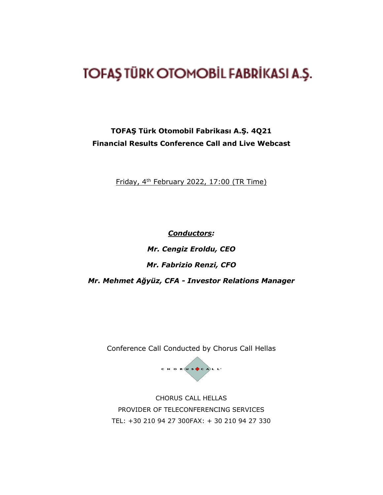## TOFAŞ TÜRK OTOMOBİL FABRİKASI A.Ş.

## **TOFAŞ Türk Otomobil Fabrikası A.Ş. 4Q21 Financial Results Conference Call and Live Webcast**

Friday, 4th February 2022, 17:00 (TR Time)

*Conductors: Mr. Cengiz Eroldu, CEO Mr. Fabrizio Renzi, CFO Mr. Mehmet Ağyüz, CFA - Investor Relations Manager*

Conference Call Conducted by Chorus Call Hellas



CHORUS CALL HELLAS PROVIDER OF TELECONFERENCING SERVICES TEL: +30 210 94 27 300FAX: + 30 210 94 27 330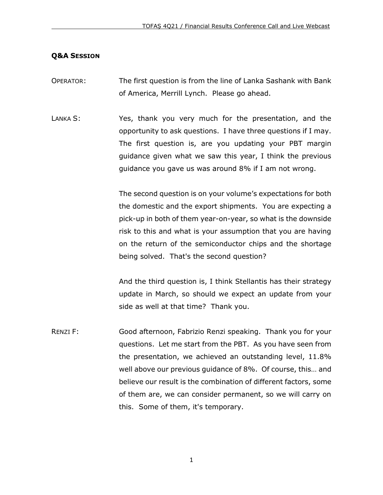## **Q&A SESSION**

- OPERATOR: The first question is from the line of Lanka Sashank with Bank of America, Merrill Lynch. Please go ahead.
- LANKA S: Yes, thank you very much for the presentation, and the opportunity to ask questions. I have three questions if I may. The first question is, are you updating your PBT margin guidance given what we saw this year, I think the previous guidance you gave us was around 8% if I am not wrong.

The second question is on your volume's expectations for both the domestic and the export shipments. You are expecting a pick-up in both of them year-on-year, so what is the downside risk to this and what is your assumption that you are having on the return of the semiconductor chips and the shortage being solved. That's the second question?

And the third question is, I think Stellantis has their strategy update in March, so should we expect an update from your side as well at that time? Thank you.

RENZI F: Good afternoon, Fabrizio Renzi speaking. Thank you for your questions. Let me start from the PBT. As you have seen from the presentation, we achieved an outstanding level, 11.8% well above our previous guidance of 8%. Of course, this… and believe our result is the combination of different factors, some of them are, we can consider permanent, so we will carry on this. Some of them, it's temporary.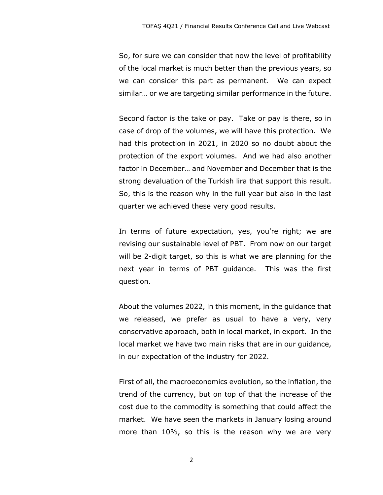So, for sure we can consider that now the level of profitability of the local market is much better than the previous years, so we can consider this part as permanent. We can expect similar… or we are targeting similar performance in the future.

Second factor is the take or pay. Take or pay is there, so in case of drop of the volumes, we will have this protection. We had this protection in 2021, in 2020 so no doubt about the protection of the export volumes. And we had also another factor in December… and November and December that is the strong devaluation of the Turkish lira that support this result. So, this is the reason why in the full year but also in the last quarter we achieved these very good results.

In terms of future expectation, yes, you're right; we are revising our sustainable level of PBT. From now on our target will be 2-digit target, so this is what we are planning for the next year in terms of PBT guidance. This was the first question.

About the volumes 2022, in this moment, in the guidance that we released, we prefer as usual to have a very, very conservative approach, both in local market, in export. In the local market we have two main risks that are in our guidance, in our expectation of the industry for 2022.

First of all, the macroeconomics evolution, so the inflation, the trend of the currency, but on top of that the increase of the cost due to the commodity is something that could affect the market. We have seen the markets in January losing around more than 10%, so this is the reason why we are very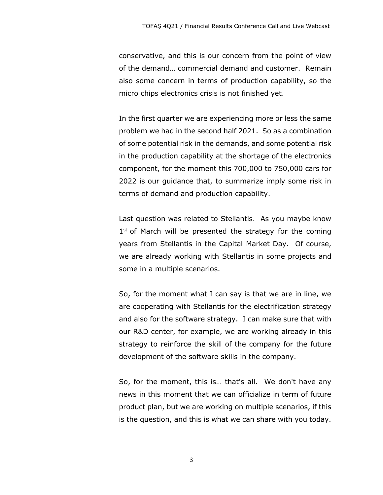conservative, and this is our concern from the point of view of the demand… commercial demand and customer. Remain also some concern in terms of production capability, so the micro chips electronics crisis is not finished yet.

In the first quarter we are experiencing more or less the same problem we had in the second half 2021. So as a combination of some potential risk in the demands, and some potential risk in the production capability at the shortage of the electronics component, for the moment this 700,000 to 750,000 cars for 2022 is our guidance that, to summarize imply some risk in terms of demand and production capability.

Last question was related to Stellantis. As you maybe know 1<sup>st</sup> of March will be presented the strategy for the coming years from Stellantis in the Capital Market Day. Of course, we are already working with Stellantis in some projects and some in a multiple scenarios.

So, for the moment what I can say is that we are in line, we are cooperating with Stellantis for the electrification strategy and also for the software strategy. I can make sure that with our R&D center, for example, we are working already in this strategy to reinforce the skill of the company for the future development of the software skills in the company.

So, for the moment, this is… that's all. We don't have any news in this moment that we can officialize in term of future product plan, but we are working on multiple scenarios, if this is the question, and this is what we can share with you today.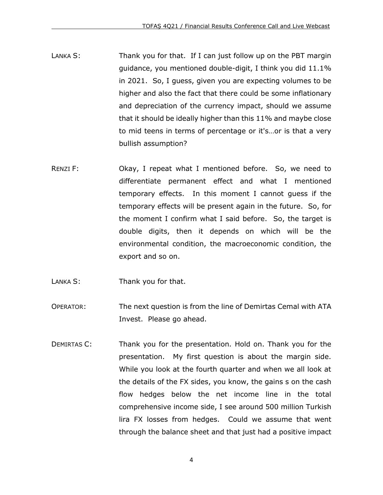- LANKA S: Thank you for that. If I can just follow up on the PBT margin guidance, you mentioned double-digit, I think you did 11.1% in 2021. So, I guess, given you are expecting volumes to be higher and also the fact that there could be some inflationary and depreciation of the currency impact, should we assume that it should be ideally higher than this 11% and maybe close to mid teens in terms of percentage or it's…or is that a very bullish assumption?
- RENZI F: Chay, I repeat what I mentioned before. So, we need to differentiate permanent effect and what I mentioned temporary effects. In this moment I cannot guess if the temporary effects will be present again in the future. So, for the moment I confirm what I said before. So, the target is double digits, then it depends on which will be the environmental condition, the macroeconomic condition, the export and so on.
- LANKA S: Thank you for that.
- OPERATOR: The next question is from the line of Demirtas Cemal with ATA Invest. Please go ahead.
- DEMIRTAS C: Thank you for the presentation. Hold on. Thank you for the presentation. My first question is about the margin side. While you look at the fourth quarter and when we all look at the details of the FX sides, you know, the gains s on the cash flow hedges below the net income line in the total comprehensive income side, I see around 500 million Turkish lira FX losses from hedges. Could we assume that went through the balance sheet and that just had a positive impact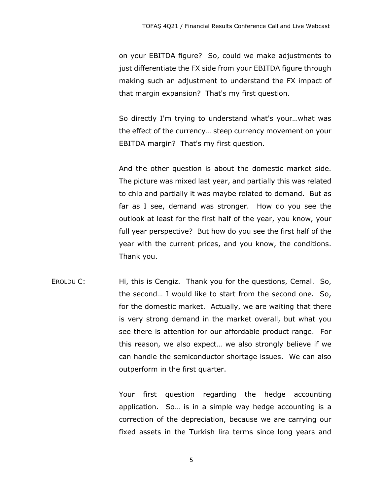on your EBITDA figure? So, could we make adjustments to just differentiate the FX side from your EBITDA figure through making such an adjustment to understand the FX impact of that margin expansion? That's my first question.

So directly I'm trying to understand what's your…what was the effect of the currency… steep currency movement on your EBITDA margin? That's my first question.

And the other question is about the domestic market side. The picture was mixed last year, and partially this was related to chip and partially it was maybe related to demand. But as far as I see, demand was stronger. How do you see the outlook at least for the first half of the year, you know, your full year perspective? But how do you see the first half of the year with the current prices, and you know, the conditions. Thank you.

EROLDU C: Hi, this is Cengiz. Thank you for the questions, Cemal. So, the second… I would like to start from the second one. So, for the domestic market. Actually, we are waiting that there is very strong demand in the market overall, but what you see there is attention for our affordable product range. For this reason, we also expect… we also strongly believe if we can handle the semiconductor shortage issues. We can also outperform in the first quarter.

> Your first question regarding the hedge accounting application. So… is in a simple way hedge accounting is a correction of the depreciation, because we are carrying our fixed assets in the Turkish lira terms since long years and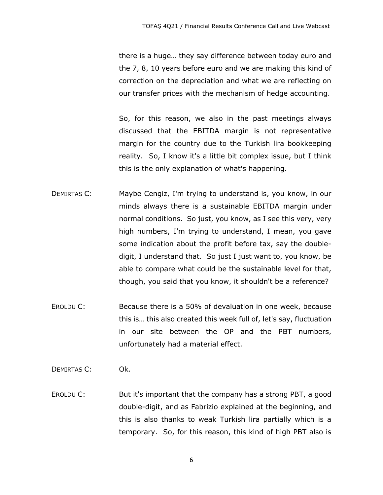there is a huge… they say difference between today euro and the 7, 8, 10 years before euro and we are making this kind of correction on the depreciation and what we are reflecting on our transfer prices with the mechanism of hedge accounting.

So, for this reason, we also in the past meetings always discussed that the EBITDA margin is not representative margin for the country due to the Turkish lira bookkeeping reality. So, I know it's a little bit complex issue, but I think this is the only explanation of what's happening.

- DEMIRTAS C: Maybe Cengiz, I'm trying to understand is, you know, in our minds always there is a sustainable EBITDA margin under normal conditions. So just, you know, as I see this very, very high numbers, I'm trying to understand, I mean, you gave some indication about the profit before tax, say the doubledigit, I understand that. So just I just want to, you know, be able to compare what could be the sustainable level for that, though, you said that you know, it shouldn't be a reference?
- EROLDU C: Because there is a 50% of devaluation in one week, because this is… this also created this week full of, let's say, fluctuation in our site between the OP and the PBT numbers, unfortunately had a material effect.
- DEMIRTAS C: Ok.
- EROLDU C: But it's important that the company has a strong PBT, a good double-digit, and as Fabrizio explained at the beginning, and this is also thanks to weak Turkish lira partially which is a temporary. So, for this reason, this kind of high PBT also is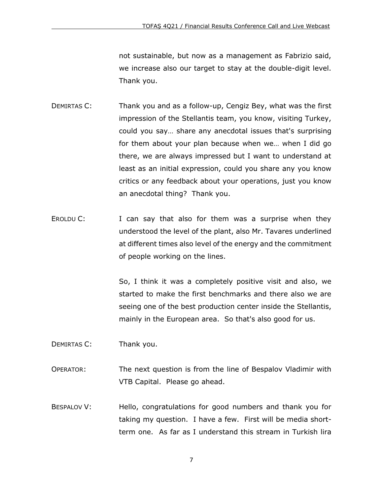not sustainable, but now as a management as Fabrizio said, we increase also our target to stay at the double-digit level. Thank you.

- DEMIRTAS C: Thank you and as a follow-up, Cengiz Bey, what was the first impression of the Stellantis team, you know, visiting Turkey, could you say… share any anecdotal issues that's surprising for them about your plan because when we… when I did go there, we are always impressed but I want to understand at least as an initial expression, could you share any you know critics or any feedback about your operations, just you know an anecdotal thing? Thank you.
- EROLDU C: I can say that also for them was a surprise when they understood the level of the plant, also Mr. Tavares underlined at different times also level of the energy and the commitment of people working on the lines.

So, I think it was a completely positive visit and also, we started to make the first benchmarks and there also we are seeing one of the best production center inside the Stellantis, mainly in the European area. So that's also good for us.

- DEMIRTAS C: Thank you.
- OPERATOR: The next question is from the line of Bespalov Vladimir with VTB Capital. Please go ahead.
- BESPALOV V: Hello, congratulations for good numbers and thank you for taking my question. I have a few. First will be media shortterm one. As far as I understand this stream in Turkish lira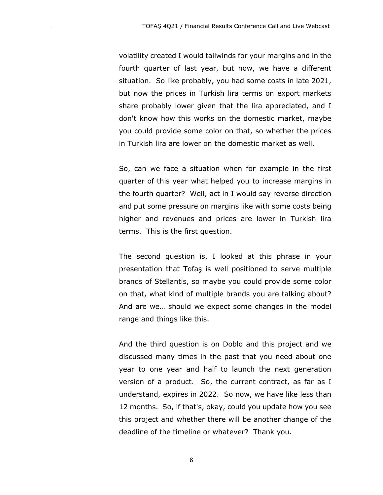volatility created I would tailwinds for your margins and in the fourth quarter of last year, but now, we have a different situation. So like probably, you had some costs in late 2021, but now the prices in Turkish lira terms on export markets share probably lower given that the lira appreciated, and I don't know how this works on the domestic market, maybe you could provide some color on that, so whether the prices in Turkish lira are lower on the domestic market as well.

So, can we face a situation when for example in the first quarter of this year what helped you to increase margins in the fourth quarter? Well, act in I would say reverse direction and put some pressure on margins like with some costs being higher and revenues and prices are lower in Turkish lira terms. This is the first question.

The second question is, I looked at this phrase in your presentation that Tofaş is well positioned to serve multiple brands of Stellantis, so maybe you could provide some color on that, what kind of multiple brands you are talking about? And are we… should we expect some changes in the model range and things like this.

And the third question is on Doblo and this project and we discussed many times in the past that you need about one year to one year and half to launch the next generation version of a product. So, the current contract, as far as I understand, expires in 2022. So now, we have like less than 12 months. So, if that's, okay, could you update how you see this project and whether there will be another change of the deadline of the timeline or whatever? Thank you.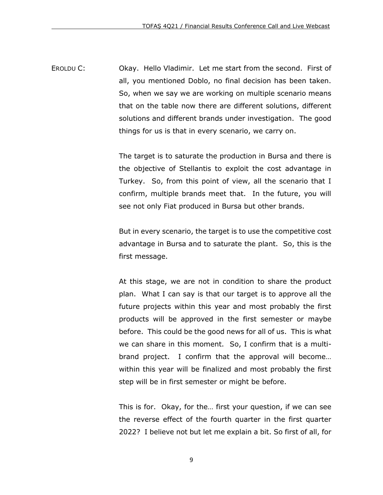EROLDU C: Okay. Hello Vladimir. Let me start from the second. First of all, you mentioned Doblo, no final decision has been taken. So, when we say we are working on multiple scenario means that on the table now there are different solutions, different solutions and different brands under investigation. The good things for us is that in every scenario, we carry on.

> The target is to saturate the production in Bursa and there is the objective of Stellantis to exploit the cost advantage in Turkey. So, from this point of view, all the scenario that I confirm, multiple brands meet that. In the future, you will see not only Fiat produced in Bursa but other brands.

> But in every scenario, the target is to use the competitive cost advantage in Bursa and to saturate the plant. So, this is the first message.

> At this stage, we are not in condition to share the product plan. What I can say is that our target is to approve all the future projects within this year and most probably the first products will be approved in the first semester or maybe before. This could be the good news for all of us. This is what we can share in this moment. So, I confirm that is a multibrand project. I confirm that the approval will become… within this year will be finalized and most probably the first step will be in first semester or might be before.

> This is for. Okay, for the… first your question, if we can see the reverse effect of the fourth quarter in the first quarter 2022? I believe not but let me explain a bit. So first of all, for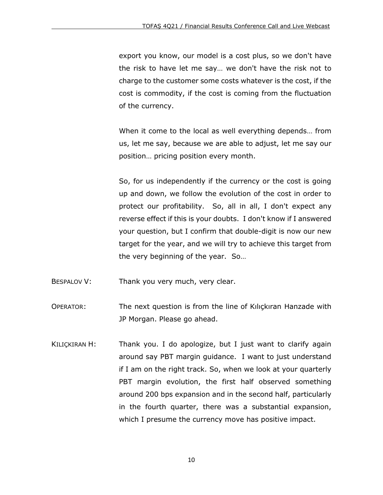export you know, our model is a cost plus, so we don't have the risk to have let me say… we don't have the risk not to charge to the customer some costs whatever is the cost, if the cost is commodity, if the cost is coming from the fluctuation of the currency.

When it come to the local as well everything depends… from us, let me say, because we are able to adjust, let me say our position… pricing position every month.

So, for us independently if the currency or the cost is going up and down, we follow the evolution of the cost in order to protect our profitability. So, all in all, I don't expect any reverse effect if this is your doubts. I don't know if I answered your question, but I confirm that double-digit is now our new target for the year, and we will try to achieve this target from the very beginning of the year. So…

- BESPALOV V: Thank you very much, very clear.
- OPERATOR: The next question is from the line of Kılıçkıran Hanzade with JP Morgan. Please go ahead.
- KILIÇKIRAN H: Thank you. I do apologize, but I just want to clarify again around say PBT margin guidance. I want to just understand if I am on the right track. So, when we look at your quarterly PBT margin evolution, the first half observed something around 200 bps expansion and in the second half, particularly in the fourth quarter, there was a substantial expansion, which I presume the currency move has positive impact.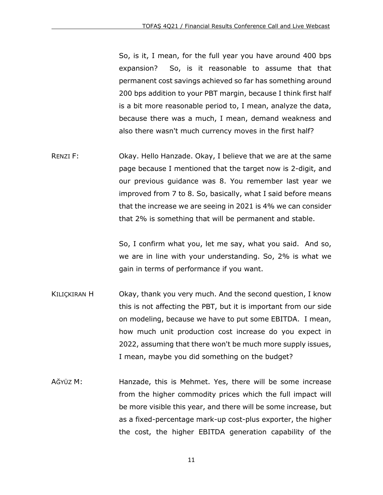So, is it, I mean, for the full year you have around 400 bps expansion? So, is it reasonable to assume that that permanent cost savings achieved so far has something around 200 bps addition to your PBT margin, because I think first half is a bit more reasonable period to, I mean, analyze the data, because there was a much, I mean, demand weakness and also there wasn't much currency moves in the first half?

RENZI F: Okay. Hello Hanzade. Okay, I believe that we are at the same page because I mentioned that the target now is 2-digit, and our previous guidance was 8. You remember last year we improved from 7 to 8. So, basically, what I said before means that the increase we are seeing in 2021 is 4% we can consider that 2% is something that will be permanent and stable.

> So, I confirm what you, let me say, what you said. And so, we are in line with your understanding. So, 2% is what we gain in terms of performance if you want.

- KILIÇKIRAN H Okay, thank you very much. And the second question, I know this is not affecting the PBT, but it is important from our side on modeling, because we have to put some EBITDA. I mean, how much unit production cost increase do you expect in 2022, assuming that there won't be much more supply issues, I mean, maybe you did something on the budget?
- AĞYÜZ M: Hanzade, this is Mehmet. Yes, there will be some increase from the higher commodity prices which the full impact will be more visible this year, and there will be some increase, but as a fixed-percentage mark-up cost-plus exporter, the higher the cost, the higher EBITDA generation capability of the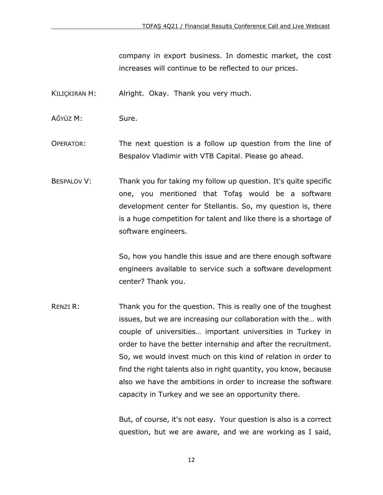company in export business. In domestic market, the cost increases will continue to be reflected to our prices.

- KILIÇKIRAN H: Alright. Okay. Thank you very much.
- AĞYÜZ M: Sure.
- OPERATOR: The next question is a follow up question from the line of Bespalov Vladimir with VTB Capital. Please go ahead.
- BESPALOV V: Thank you for taking my follow up question. It's quite specific one, you mentioned that Tofaş would be a software development center for Stellantis. So, my question is, there is a huge competition for talent and like there is a shortage of software engineers.

So, how you handle this issue and are there enough software engineers available to service such a software development center? Thank you.

RENZI R: Thank you for the question. This is really one of the toughest issues, but we are increasing our collaboration with the… with couple of universities… important universities in Turkey in order to have the better internship and after the recruitment. So, we would invest much on this kind of relation in order to find the right talents also in right quantity, you know, because also we have the ambitions in order to increase the software capacity in Turkey and we see an opportunity there.

> But, of course, it's not easy. Your question is also is a correct question, but we are aware, and we are working as I said,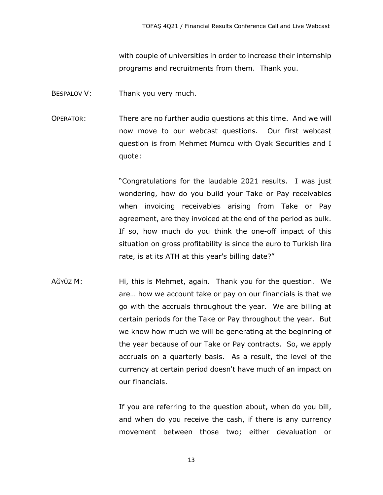with couple of universities in order to increase their internship programs and recruitments from them. Thank you.

- BESPALOV V: Thank you very much.
- OPERATOR: There are no further audio questions at this time. And we will now move to our webcast questions. Our first webcast question is from Mehmet Mumcu with Oyak Securities and I quote:

"Congratulations for the laudable 2021 results. I was just wondering, how do you build your Take or Pay receivables when invoicing receivables arising from Take or Pay agreement, are they invoiced at the end of the period as bulk. If so, how much do you think the one-off impact of this situation on gross profitability is since the euro to Turkish lira rate, is at its ATH at this year's billing date?"

AĞYÜZ M: Hi, this is Mehmet, again. Thank you for the question. We are… how we account take or pay on our financials is that we go with the accruals throughout the year. We are billing at certain periods for the Take or Pay throughout the year. But we know how much we will be generating at the beginning of the year because of our Take or Pay contracts. So, we apply accruals on a quarterly basis. As a result, the level of the currency at certain period doesn't have much of an impact on our financials.

> If you are referring to the question about, when do you bill, and when do you receive the cash, if there is any currency movement between those two; either devaluation or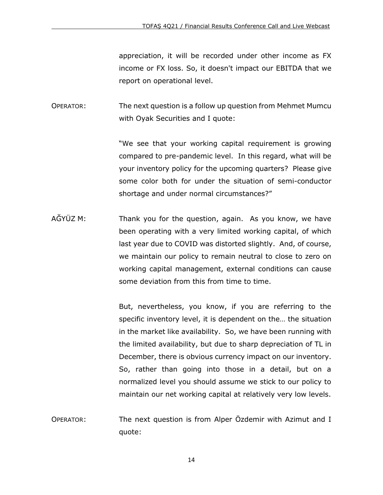appreciation, it will be recorded under other income as FX income or FX loss. So, it doesn't impact our EBITDA that we report on operational level.

OPERATOR: The next question is a follow up question from Mehmet Mumcu with Oyak Securities and I quote:

> "We see that your working capital requirement is growing compared to pre-pandemic level. In this regard, what will be your inventory policy for the upcoming quarters? Please give some color both for under the situation of semi-conductor shortage and under normal circumstances?"

AĞYÜZ M: Thank you for the question, again. As you know, we have been operating with a very limited working capital, of which last year due to COVID was distorted slightly. And, of course, we maintain our policy to remain neutral to close to zero on working capital management, external conditions can cause some deviation from this from time to time.

> But, nevertheless, you know, if you are referring to the specific inventory level, it is dependent on the… the situation in the market like availability. So, we have been running with the limited availability, but due to sharp depreciation of TL in December, there is obvious currency impact on our inventory. So, rather than going into those in a detail, but on a normalized level you should assume we stick to our policy to maintain our net working capital at relatively very low levels.

OPERATOR: The next question is from Alper Özdemir with Azimut and I quote: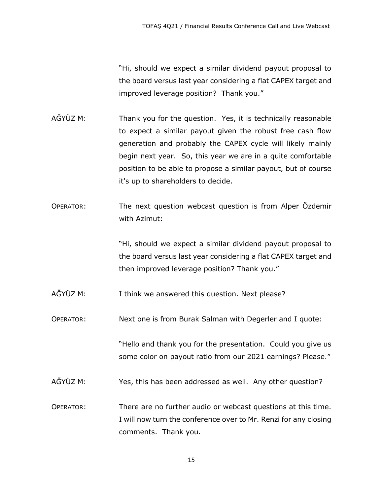"Hi, should we expect a similar dividend payout proposal to the board versus last year considering a flat CAPEX target and improved leverage position? Thank you."

- AĞYÜZ M: Thank you for the question. Yes, it is technically reasonable to expect a similar payout given the robust free cash flow generation and probably the CAPEX cycle will likely mainly begin next year. So, this year we are in a quite comfortable position to be able to propose a similar payout, but of course it's up to shareholders to decide.
- OPERATOR: The next question webcast question is from Alper Özdemir with Azimut:

"Hi, should we expect a similar dividend payout proposal to the board versus last year considering a flat CAPEX target and then improved leverage position? Thank you."

AĞYÜZ M: I think we answered this question. Next please?

OPERATOR: Next one is from Burak Salman with Degerler and I quote:

"Hello and thank you for the presentation. Could you give us some color on payout ratio from our 2021 earnings? Please."

- AĞYÜZ M: Yes, this has been addressed as well. Any other question?
- OPERATOR: There are no further audio or webcast questions at this time. I will now turn the conference over to Mr. Renzi for any closing comments. Thank you.